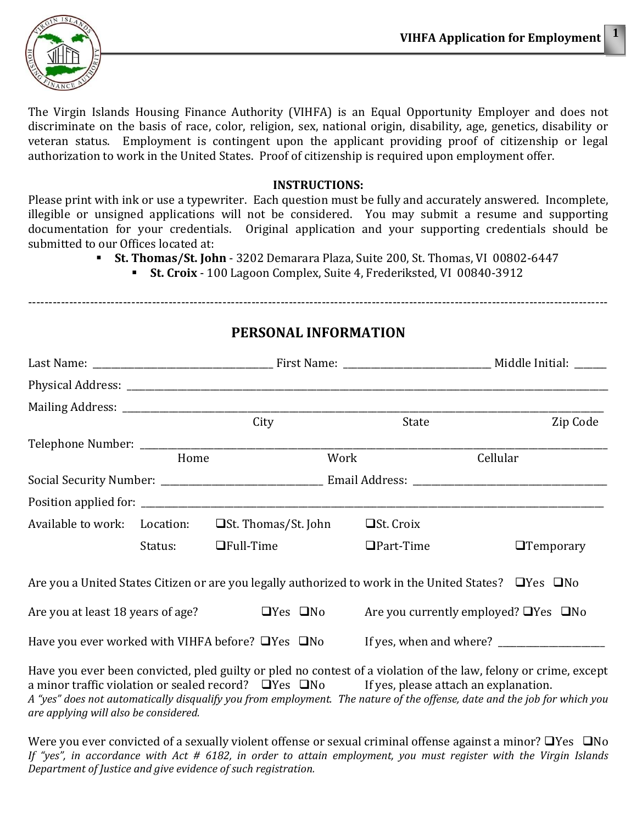

The Virgin Islands Housing Finance Authority (VIHFA) is an Equal Opportunity Employer and does not discriminate on the basis of race, color, religion, sex, national origin, disability, age, genetics, disability or veteran status. Employment is contingent upon the applicant providing proof of citizenship or legal authorization to work in the United States. Proof of citizenship is required upon employment offer.

#### **INSTRUCTIONS:**

Please print with ink or use a typewriter. Each question must be fully and accurately answered. Incomplete, illegible or unsigned applications will not be considered. You may submit a resume and supporting documentation for your credentials. Original application and your supporting credentials should be submitted to our Offices located at:

- **St. Thomas/St. John** 3202 Demarara Plaza, Suite 200, St. Thomas, VI 00802-6447
	- **St. Croix** 100 Lagoon Complex, Suite 4, Frederiksted, VI 00840-3912

|         | City                                                         |      | State                                                                                                            | Zip Code         |
|---------|--------------------------------------------------------------|------|------------------------------------------------------------------------------------------------------------------|------------------|
|         |                                                              |      |                                                                                                                  |                  |
| Home    |                                                              | Work | Cellular                                                                                                         |                  |
|         |                                                              |      |                                                                                                                  |                  |
|         |                                                              |      |                                                                                                                  |                  |
|         | Available to work: Location: $\Box$ St. Thomas/St. John      |      | $\Box$ St. Croix                                                                                                 |                  |
| Status: | $\Box$ Full-Time                                             |      | $\Box$ Part-Time                                                                                                 | $\Box$ Temporary |
|         |                                                              |      | Are you a United States Citizen or are you legally authorized to work in the United States? $\Box$ Yes $\Box$ No |                  |
|         | Are you at least 18 years of age? $\Box$ Yes $\Box$ No       |      | Are you currently employed? $\Box$ Yes $\Box$ No                                                                 |                  |
|         | Have you ever worked with VIHFA before? $\Box$ Yes $\Box$ No |      |                                                                                                                  |                  |
|         |                                                              |      | Lave you give been convicted plad quilty or plad no contact of a violation of the law felony or grime, except    |                  |

Have you ever been convicted, pled guilty or pled no contest of a violation of the law, felony or crime, except a minor traffic violation or sealed record?  $\Box$  Yes  $\Box$  No If yes, please attach an explanation. *A "yes" does not automatically disqualify you from employment. The nature of the offense, date and the job for which you are applying will also be considered.* 

Were you ever convicted of a sexually violent offense or sexual criminal offense against a minor?  $\Box$  Yes  $\Box$  No *If "yes", in accordance with Act # 6182, in order to attain employment, you must register with the Virgin Islands Department of Justice and give evidence of such registration.*

# **PERSONAL INFORMATION**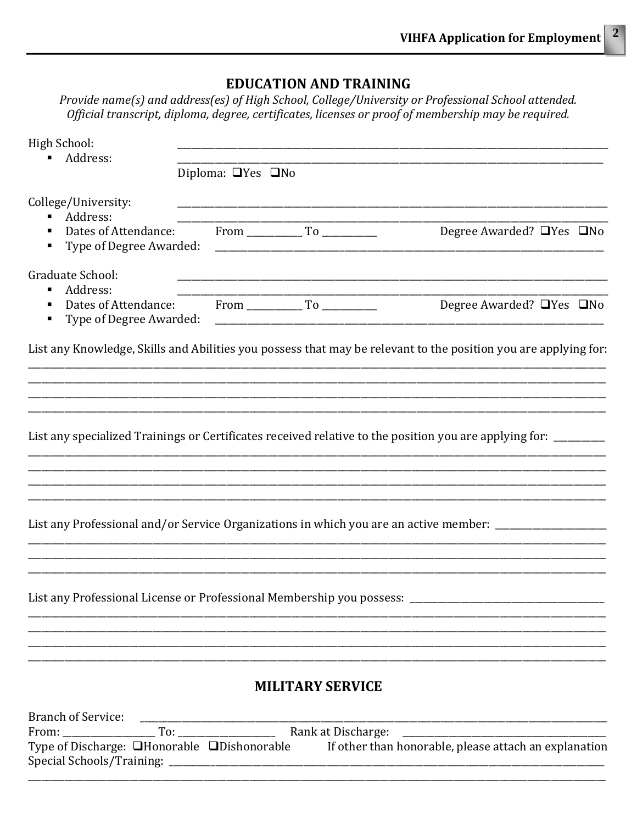# **EDUCATION AND TRAINING**

Provide name(s) and address(es) of High School, College/University or Professional School attended. Official transcript, diploma, degree, certificates, licenses or proof of membership may be required.

| High School:                                                                                                    |                               |                         |                                      |  |
|-----------------------------------------------------------------------------------------------------------------|-------------------------------|-------------------------|--------------------------------------|--|
| Address:                                                                                                        | Diploma: $\Box$ Yes $\Box$ No |                         |                                      |  |
| College/University:<br>Address:<br>Type of Degree Awarded:<br>٠                                                 |                               |                         | Degree Awarded? $\Box$ Yes $\Box$ No |  |
| Graduate School:<br>Address:                                                                                    |                               |                         | Degree Awarded? $\Box$ Yes $\Box$ No |  |
| List any Knowledge, Skills and Abilities you possess that may be relevant to the position you are applying for: |                               |                         |                                      |  |
|                                                                                                                 |                               |                         |                                      |  |
| List any specialized Trainings or Certificates received relative to the position you are applying for: ______   |                               |                         |                                      |  |
| List any Professional and/or Service Organizations in which you are an active member: ______________            |                               |                         |                                      |  |
| List any Professional License or Professional Membership you possess: ____                                      |                               |                         |                                      |  |
|                                                                                                                 |                               | <b>MILITARY SERVICE</b> |                                      |  |
| Type of Discharge: □Honorable □Dishonorable If other than honorable, please attach an explanation               |                               |                         |                                      |  |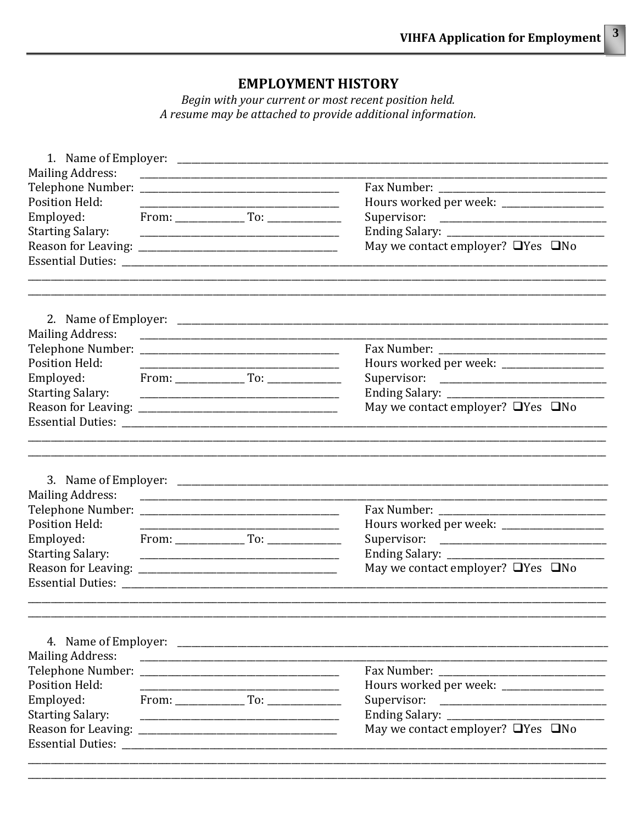## **EMPLOYMENT HISTORY**

Begin with your current or most recent position held. A resume may be attached to provide additional information.

| <b>Mailing Address:</b>                                                           |  |  |                                                                                    |  |  |
|-----------------------------------------------------------------------------------|--|--|------------------------------------------------------------------------------------|--|--|
|                                                                                   |  |  |                                                                                    |  |  |
|                                                                                   |  |  |                                                                                    |  |  |
| <b>Position Held:</b>                                                             |  |  |                                                                                    |  |  |
| Employed:<br><b>Starting Salary:</b>                                              |  |  |                                                                                    |  |  |
|                                                                                   |  |  |                                                                                    |  |  |
|                                                                                   |  |  | May we contact employer? $\Box$ Yes $\Box$ No                                      |  |  |
|                                                                                   |  |  |                                                                                    |  |  |
| <b>Mailing Address:</b>                                                           |  |  |                                                                                    |  |  |
|                                                                                   |  |  |                                                                                    |  |  |
| <b>Position Held:</b>                                                             |  |  |                                                                                    |  |  |
| Employed:                                                                         |  |  |                                                                                    |  |  |
| <b>Starting Salary:</b>                                                           |  |  |                                                                                    |  |  |
|                                                                                   |  |  | May we contact employer? $\Box$ Yes $\Box$ No                                      |  |  |
|                                                                                   |  |  |                                                                                    |  |  |
|                                                                                   |  |  |                                                                                    |  |  |
| <b>Mailing Address:</b><br>Position Held:<br>Employed:<br><b>Starting Salary:</b> |  |  | Ending Salary: __________________<br>May we contact employer? $\Box$ Yes $\Box$ No |  |  |